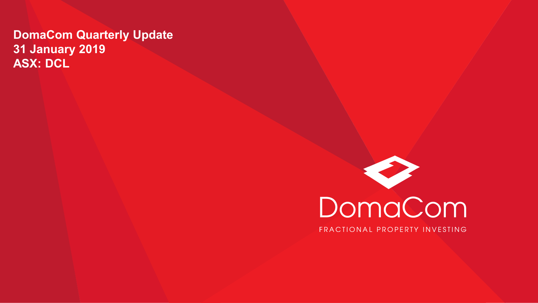### **DomaCom Quarterly Update 31 January 2019 ASX: DCL**

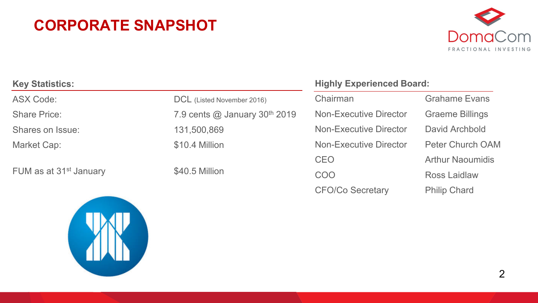### **CORPORATE SNAPSHOT**



| <b>Key Statistics:</b>             |                                                  | <b>Highly Experienced Board:</b> |                         |
|------------------------------------|--------------------------------------------------|----------------------------------|-------------------------|
| <b>ASX Code:</b>                   | DCL (Listed November 2016)                       | Chairman                         | <b>Grahame Evans</b>    |
| <b>Share Price:</b>                | 7.9 cents $\omega$ January 30 <sup>th</sup> 2019 | Non-Executive Director           | <b>Graeme Billings</b>  |
| Shares on Issue:                   | 131,500,869                                      | Non-Executive Director           | David Archbold          |
| Market Cap:                        | \$10.4 Million                                   | Non-Executive Director           | <b>Peter Church OAM</b> |
|                                    |                                                  | <b>CEO</b>                       | <b>Arthur Naoumidis</b> |
| FUM as at 31 <sup>st</sup> January | \$40.5 Million                                   | <b>COO</b>                       | <b>Ross Laidlaw</b>     |
|                                    |                                                  |                                  |                         |



CFO/Co Secretary Philip Chard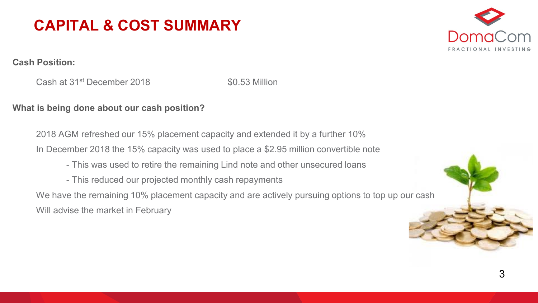



#### **Cash Position:**

Cash at 31<sup>st</sup> December 2018 **\$0.53 Million** 

#### **What is being done about our cash position?**

2018 AGM refreshed our 15% placement capacity and extended it by a further 10% In December 2018 the 15% capacity was used to place a \$2.95 million convertible note

- This was used to retire the remaining Lind note and other unsecured loans
- This reduced our projected monthly cash repayments

We have the remaining 10% placement capacity and are actively pursuing options to top up our cash Will advise the market in February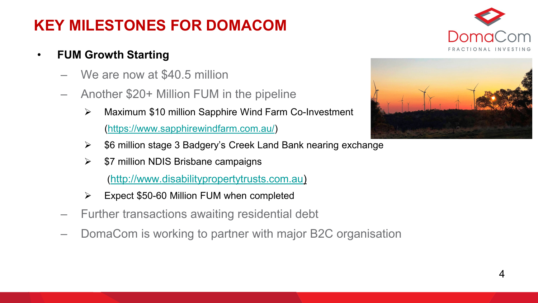## **KEY MILESTONES FOR DOMACOM**

### • **FUM Growth Starting**

- We are now at \$40.5 million
- Another \$20+ Million FUM in the pipeline
	- Maximum \$10 million Sapphire Wind Farm Co-Investment [\(https://www.sapphirewindfarm.com.au/\)](https://www.sapphirewindfarm.com.au/)
	- $\ge$  \$6 million stage 3 Badgery's Creek Land Bank nearing exchange
	- $\triangleright$  \$7 million NDIS Brisbane campaigns

([http://www.disabilitypropertytrusts.com.au\)](https://apac01.safelinks.protection.outlook.com/?url=http%3A%2F%2Fwww.disabilitypropertytrusts.com.au&data=02%7C01%7Cnat.fiennes%40domacom.com.au%7C03ee296c972142137ed208d6869a7286%7C39f342c447984b4aa5c878207a6c9250%7C0%7C0%7C636844395278476872&sdata=TOiuYXvTbc5gEwNAr%2BZ2FGPA5MRcgWMNdRuVXvFbQkA%3D&reserved=0)

- $\triangleright$  Expect \$50-60 Million FUM when completed
- Further transactions awaiting residential debt
- DomaCom is working to partner with major B2C organisation



4

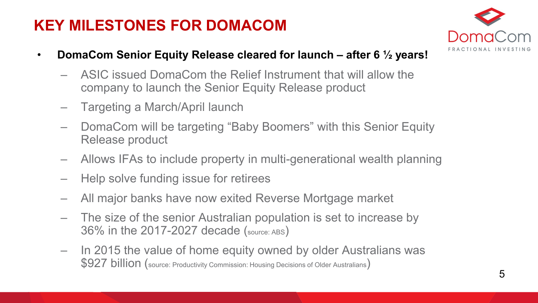### **KEY MILESTONES FOR DOMACOM**



- **DomaCom Senior Equity Release cleared for launch – after 6 ½ years!** 
	- ASIC issued DomaCom the Relief Instrument that will allow the company to launch the Senior Equity Release product
	- Targeting a March/April launch
	- DomaCom will be targeting "Baby Boomers" with this Senior Equity Release product
	- Allows IFAs to include property in multi-generational wealth planning
	- Help solve funding issue for retirees
	- All major banks have now exited Reverse Mortgage market
	- The size of the senior Australian population is set to increase by 36% in the 2017-2027 decade (source: ABS)
	- In 2015 the value of home equity owned by older Australians was \$927 billion (source: Productivity Commission: Housing Decisions of Older Australians)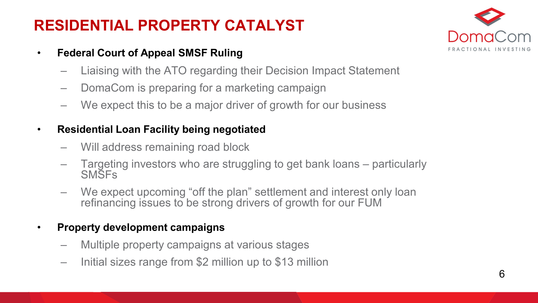## **RESIDENTIAL PROPERTY CATALYST**

- **Federal Court of Appeal SMSF Ruling** 
	- Liaising with the ATO regarding their Decision Impact Statement
	- DomaCom is preparing for a marketing campaign
	- We expect this to be a major driver of growth for our business

#### • **Residential Loan Facility being negotiated**

- Will address remaining road block
- Targeting investors who are struggling to get bank loans particularly SMSFs
- We expect upcoming "off the plan" settlement and interest only loan refinancing issues to be strong drivers of growth for our FUM

#### • **Property development campaigns**

- Multiple property campaigns at various stages
- Initial sizes range from \$2 million up to \$13 million

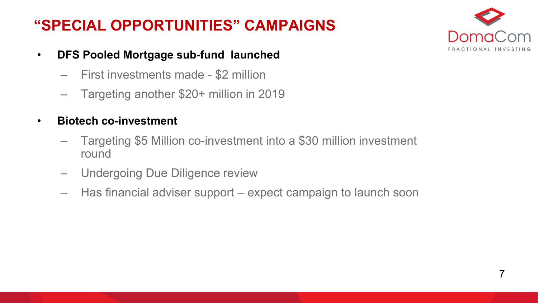## **"SPECIAL OPPORTUNITIES" CAMPAIGNS**



- **DFS Pooled Mortgage sub-fund launched**
	- First investments made \$2 million
	- Targeting another \$20+ million in 2019
- **Biotech co-investment**
	- Targeting \$5 Million co-investment into a \$30 million investment round
	- Undergoing Due Diligence review
	- Has financial adviser support expect campaign to launch soon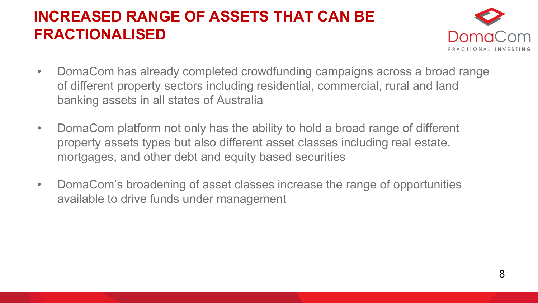### **INCREASED RANGE OF ASSETS THAT CAN BE FRACTIONALISED**



- DomaCom has already completed crowdfunding campaigns across a broad range of different property sectors including residential, commercial, rural and land banking assets in all states of Australia
- DomaCom platform not only has the ability to hold a broad range of different property assets types but also different asset classes including real estate, mortgages, and other debt and equity based securities
- DomaCom's broadening of asset classes increase the range of opportunities available to drive funds under management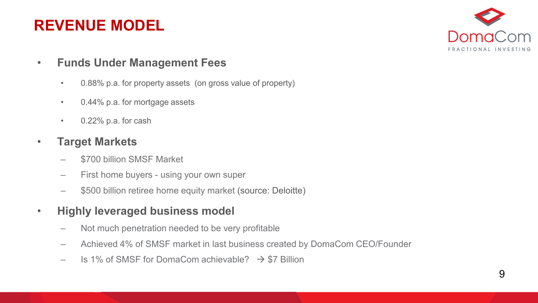### **REVENUE MODEL**



- **Funds Under Management Fees**
	- 0.88% p.a. for property assets (on gross value of property)
	- 0.44% p.a. for mortgage assets
	- 0.22% p.a. for cash

#### • **Target Markets**

- \$700 billion SMSF Market
- First home buyers using your own super
- \$500 billion retiree home equity market (source: Deloitte)
- **Highly leveraged business model**
	- Not much penetration needed to be very profitable
	- Achieved 4% of SMSF market in last business created by DomaCom CEO/Founder
	- $-$  Is 1% of SMSF for DomaCom achievable?  $\rightarrow$  \$7 Billion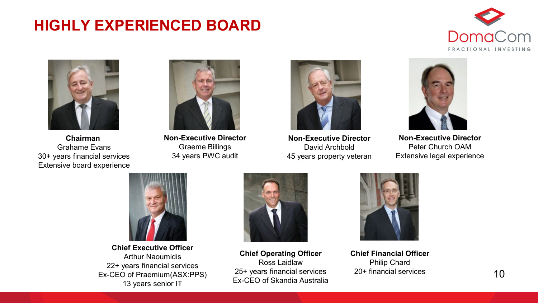### **HIGHLY EXPERIENCED BOARD**





**Chairman**  Grahame Evans 30+ years financial services Extensive board experience



**Non-Executive Director** Graeme Billings 34 years PWC audit



**Non-Executive Director** David Archbold 45 years property veteran



**Non-Executive Director** Peter Church OAM Extensive legal experience



**Chief Executive Officer** Arthur Naoumidis 22+ years financial services Ex-CEO of Praemium(ASX:PPS) 13 years senior IT



**Chief Operating Officer** Ross Laidlaw 25+ years financial services Ex-CEO of Skandia Australia



**Chief Financial Officer** Philip Chard 20+ financial services